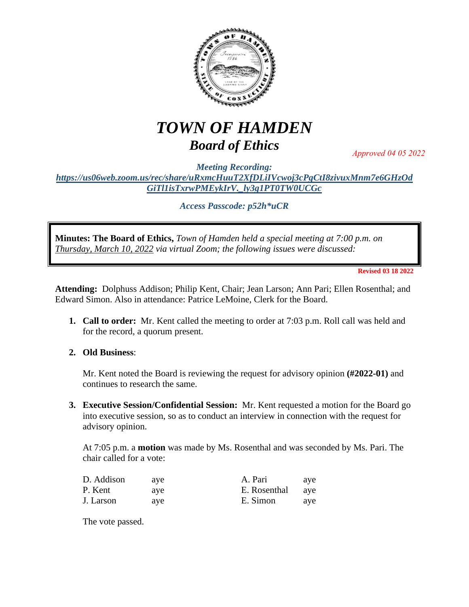

## *TOWN OF HAMDEN Board of Ethics*

*Approved 04 05 2022*

*Meeting Recording: [https://us06web.zoom.us/rec/share/uRxmcHuuT2XfDLiIVcwoj3cPgCtI8zivuxMnm7e6GHzOd](https://us06web.zoom.us/rec/share/uRxmcHuuT2XfDLiIVcwoj3cPgCtI8zivuxMnm7e6GHzOdGiTl1isTxrwPMEykIrV._ly3g1PT0TW0UCGc) [GiTl1isTxrwPMEykIrV.\\_ly3g1PT0TW0UCGc](https://us06web.zoom.us/rec/share/uRxmcHuuT2XfDLiIVcwoj3cPgCtI8zivuxMnm7e6GHzOdGiTl1isTxrwPMEykIrV._ly3g1PT0TW0UCGc)*

*Access Passcode: p52h\*uCR*

**Minutes: The Board of Ethics,** *Town of Hamden held a special meeting at 7:00 p.m. on Thursday, March 10, 2022 via virtual Zoom; the following issues were discussed:*

**Revised 03 18 2022**

**Attending:** Dolphuss Addison; Philip Kent, Chair; Jean Larson; Ann Pari; Ellen Rosenthal; and Edward Simon. Also in attendance: Patrice LeMoine, Clerk for the Board.

- **1. Call to order:** Mr. Kent called the meeting to order at 7:03 p.m. Roll call was held and for the record, a quorum present.
- **2. Old Business**:

Mr. Kent noted the Board is reviewing the request for advisory opinion **(#2022-01)** and continues to research the same.

**3. Executive Session/Confidential Session:** Mr. Kent requested a motion for the Board go into executive session, so as to conduct an interview in connection with the request for advisory opinion.

At 7:05 p.m. a **motion** was made by Ms. Rosenthal and was seconded by Ms. Pari. The chair called for a vote:

| D. Addison | ave | A. Pari      | ave |
|------------|-----|--------------|-----|
| P. Kent    | ave | E. Rosenthal | ave |
| J. Larson  | ave | E. Simon     | ave |

The vote passed.